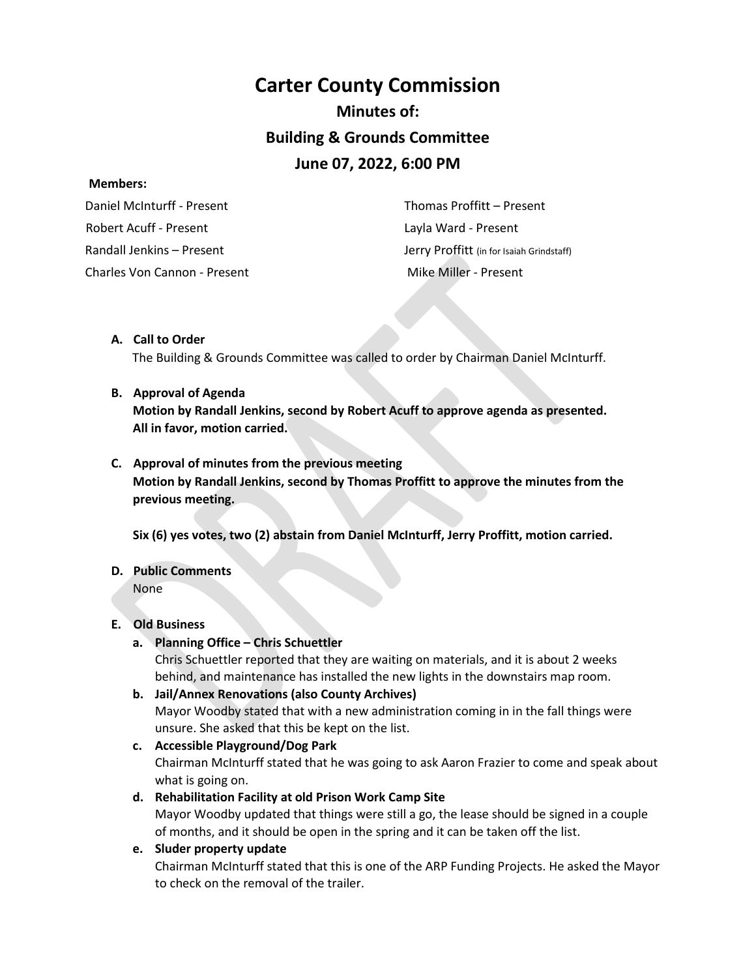# **Carter County Commission Minutes of: Building & Grounds Committee June 07, 2022, 6:00 PM**

#### **Members:**

 Daniel McInturff - Present Robert Acuff - Present Randall Jenkins – Present Charles Von Cannon - Present Mike Miller - Present

 Thomas Proffitt – Present Layla Ward - Present Jerry Proffitt (in for Isaiah Grindstaff)

## **A. Call to Order**

The Building & Grounds Committee was called to order by Chairman Daniel McInturff.

#### **B. Approval of Agenda**

**Motion by Randall Jenkins, second by Robert Acuff to approve agenda as presented. All in favor, motion carried.** 

#### **C. Approval of minutes from the previous meeting**

**Motion by Randall Jenkins, second by Thomas Proffitt to approve the minutes from the previous meeting.** 

**Six (6) yes votes, two (2) abstain from Daniel McInturff, Jerry Proffitt, motion carried.**

## **D. Public Comments**

None

## **E. Old Business**

## **a. Planning Office – Chris Schuettler**

Chris Schuettler reported that they are waiting on materials, and it is about 2 weeks behind, and maintenance has installed the new lights in the downstairs map room.

**b. Jail/Annex Renovations (also County Archives)** Mayor Woodby stated that with a new administration coming in in the fall things were unsure. She asked that this be kept on the list.

#### **c. Accessible Playground/Dog Park**

Chairman McInturff stated that he was going to ask Aaron Frazier to come and speak about what is going on.

## **d. Rehabilitation Facility at old Prison Work Camp Site**

Mayor Woodby updated that things were still a go, the lease should be signed in a couple of months, and it should be open in the spring and it can be taken off the list.

#### **e. Sluder property update**

Chairman McInturff stated that this is one of the ARP Funding Projects. He asked the Mayor to check on the removal of the trailer.